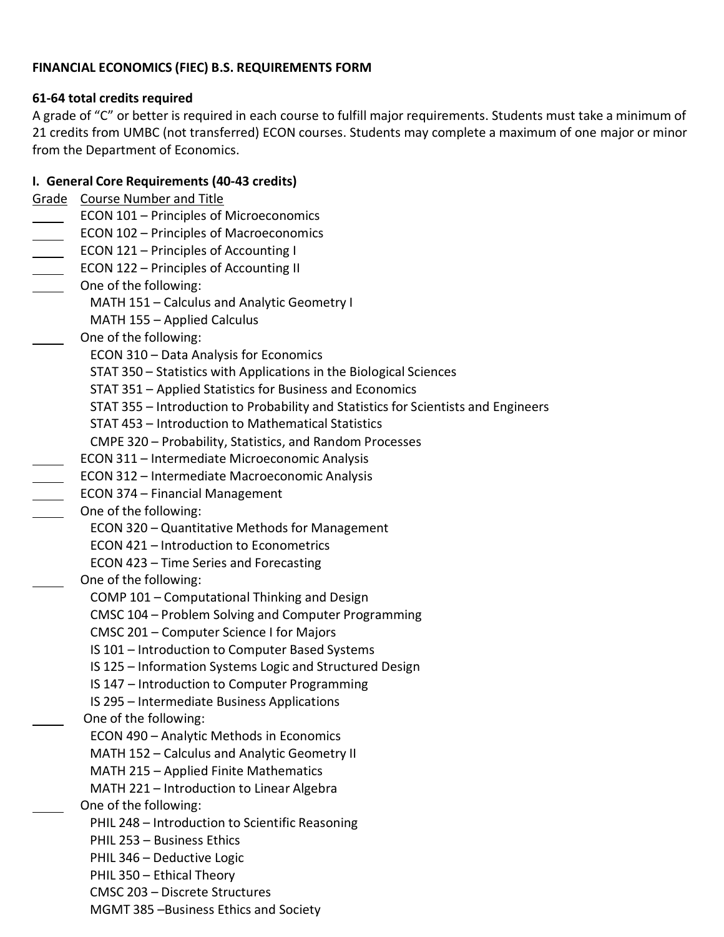### **FINANCIAL ECONOMICS (FIEC) B.S. REQUIREMENTS FORM**

### **61-64 total credits required**

A grade of "C" or better is required in each course to fulfill major requirements. Students must take a minimum of 21 credits from UMBC (not transferred) ECON courses. Students may complete a maximum of one major or minor from the Department of Economics.

# **I. General Core Requirements (40-43 credits)**

Grade Course Number and Title

- ECON 101 Principles of Microeconomics
- **ECON 102 Principles of Macroeconomics**
- **ECON 121 Principles of Accounting I**
- **ECON 122 Principles of Accounting II**
- **CONE ONE OF THE FOLLOWING:** 
	- MATH 151 Calculus and Analytic Geometry I
	- MATH 155 Applied Calculus
- One of the following:
	- ECON 310 Data Analysis for Economics
	- STAT 350 Statistics with Applications in the Biological Sciences
	- STAT 351 Applied Statistics for Business and Economics
	- STAT 355 Introduction to Probability and Statistics for Scientists and Engineers
	- STAT 453 Introduction to Mathematical Statistics
	- CMPE 320 Probability, Statistics, and Random Processes
	- ECON 311 Intermediate Microeconomic Analysis
- ECON 312 Intermediate Macroeconomic Analysis
- ECON 374 Financial Management
- One of the following:
	- ECON 320 Quantitative Methods for Management
	- ECON 421 Introduction to Econometrics
	- ECON 423 Time Series and Forecasting
	- One of the following:
		- COMP 101 Computational Thinking and Design
		- CMSC 104 Problem Solving and Computer Programming
		- CMSC 201 Computer Science I for Majors
		- IS 101 Introduction to Computer Based Systems
		- IS 125 Information Systems Logic and Structured Design
		- IS 147 Introduction to Computer Programming
		- IS 295 Intermediate Business Applications
	- One of the following:
		- ECON 490 Analytic Methods in Economics
		- MATH 152 Calculus and Analytic Geometry II
		- MATH 215 Applied Finite Mathematics
		- MATH 221 Introduction to Linear Algebra
	- One of the following:
		- PHIL 248 Introduction to Scientific Reasoning
		- PHIL 253 Business Ethics
		- PHIL 346 Deductive Logic
		- PHIL 350 Ethical Theory
		- CMSC 203 Discrete Structures
		- MGMT 385 –Business Ethics and Society